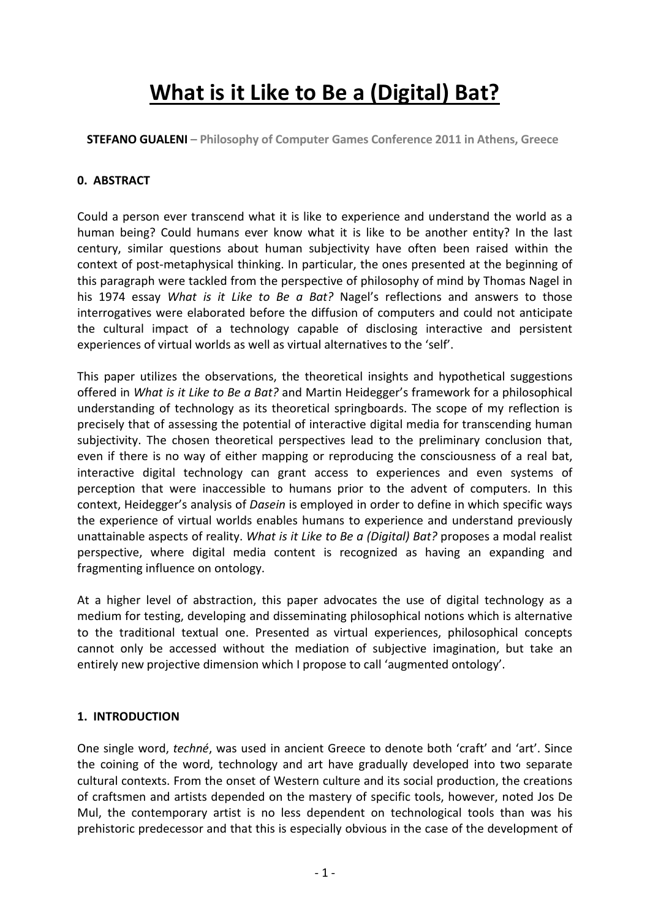# **What is it Like to Be a (Digital) Bat?**

**STEFANO GUALENI – Philosophy of Computer Games Conference 2011 in Athens, Greece**

# **0. ABSTRACT**

Could a person ever transcend what it is like to experience and understand the world as a human being? Could humans ever know what it is like to be another entity? In the last century, similar questions about human subjectivity have often been raised within the context of post-metaphysical thinking. In particular, the ones presented at the beginning of this paragraph were tackled from the perspective of philosophy of mind by Thomas Nagel in his 1974 essay *What is it Like to Be a Bat?* Nagel's reflections and answers to those interrogatives were elaborated before the diffusion of computers and could not anticipate the cultural impact of a technology capable of disclosing interactive and persistent experiences of virtual worlds as well as virtual alternatives to the 'self'.

This paper utilizes the observations, the theoretical insights and hypothetical suggestions offered in *What is it Like to Be a Bat?* and Martin Heidegger's framework for a philosophical understanding of technology as its theoretical springboards. The scope of my reflection is precisely that of assessing the potential of interactive digital media for transcending human subjectivity. The chosen theoretical perspectives lead to the preliminary conclusion that, even if there is no way of either mapping or reproducing the consciousness of a real bat, interactive digital technology can grant access to experiences and even systems of perception that were inaccessible to humans prior to the advent of computers. In this context, Heidegger's analysis of *Dasein* is employed in order to define in which specific ways the experience of virtual worlds enables humans to experience and understand previously unattainable aspects of reality. *What is it Like to Be a (Digital) Bat?* proposes a modal realist perspective, where digital media content is recognized as having an expanding and fragmenting influence on ontology.

At a higher level of abstraction, this paper advocates the use of digital technology as a medium for testing, developing and disseminating philosophical notions which is alternative to the traditional textual one. Presented as virtual experiences, philosophical concepts cannot only be accessed without the mediation of subjective imagination, but take an entirely new projective dimension which I propose to call 'augmented ontology'.

# **1. INTRODUCTION**

One single word, *techné*, was used in ancient Greece to denote both 'craft' and 'art'. Since the coining of the word, technology and art have gradually developed into two separate cultural contexts. From the onset of Western culture and its social production, the creations of craftsmen and artists depended on the mastery of specific tools, however, noted Jos De Mul, the contemporary artist is no less dependent on technological tools than was his prehistoric predecessor and that this is especially obvious in the case of the development of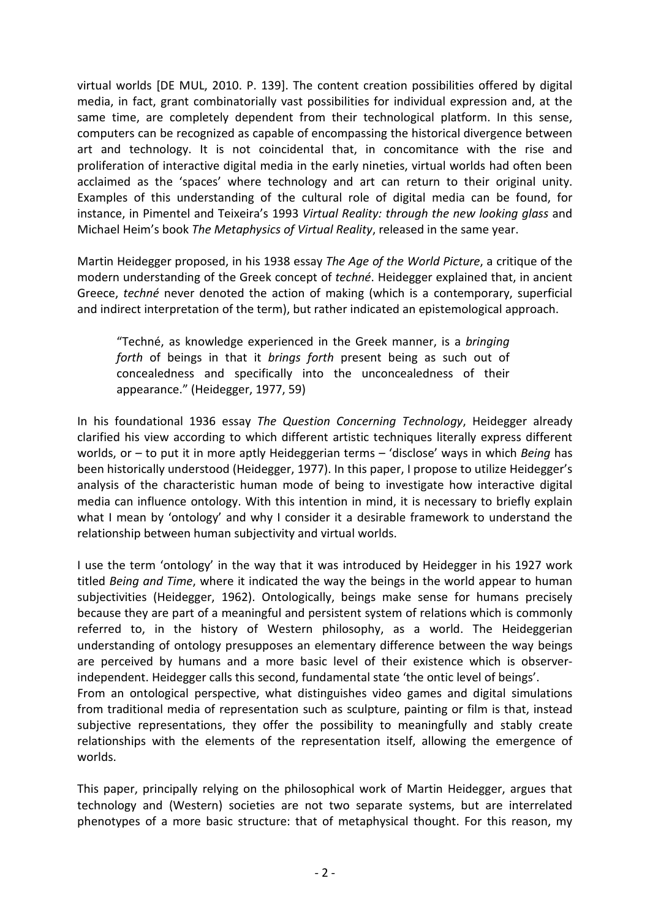virtual worlds [DE MUL, 2010. P. 139]. The content creation possibilities offered by digital media, in fact, grant combinatorially vast possibilities for individual expression and, at the same time, are completely dependent from their technological platform. In this sense, computers can be recognized as capable of encompassing the historical divergence between art and technology. It is not coincidental that, in concomitance with the rise and proliferation of interactive digital media in the early nineties, virtual worlds had often been acclaimed as the 'spaces' where technology and art can return to their original unity. Examples of this understanding of the cultural role of digital media can be found, for instance, in Pimentel and Teixeira's 1993 *Virtual Reality: through the new looking glass* and Michael Heim's book *The Metaphysics of Virtual Reality*, released in the same year.

Martin Heidegger proposed, in his 1938 essay *The Age of the World Picture*, a critique of the modern understanding of the Greek concept of *techné*. Heidegger explained that, in ancient Greece, *techné* never denoted the action of making (which is a contemporary, superficial and indirect interpretation of the term), but rather indicated an epistemological approach.

"Techné, as knowledge experienced in the Greek manner, is a *bringing forth* of beings in that it *brings forth* present being as such out of concealedness and specifically into the unconcealedness of their appearance." (Heidegger, 1977, 59)

In his foundational 1936 essay *The Question Concerning Technology*, Heidegger already clarified his view according to which different artistic techniques literally express different worlds, or – to put it in more aptly Heideggerian terms – 'disclose' ways in which *Being* has been historically understood (Heidegger, 1977). In this paper, I propose to utilize Heidegger's analysis of the characteristic human mode of being to investigate how interactive digital media can influence ontology. With this intention in mind, it is necessary to briefly explain what I mean by 'ontology' and why I consider it a desirable framework to understand the relationship between human subjectivity and virtual worlds.

I use the term 'ontology' in the way that it was introduced by Heidegger in his 1927 work titled *Being and Time*, where it indicated the way the beings in the world appear to human subjectivities (Heidegger, 1962). Ontologically, beings make sense for humans precisely because they are part of a meaningful and persistent system of relations which is commonly referred to, in the history of Western philosophy, as a world. The Heideggerian understanding of ontology presupposes an elementary difference between the way beings are perceived by humans and a more basic level of their existence which is observerindependent. Heidegger calls this second, fundamental state 'the ontic level of beings'. From an ontological perspective, what distinguishes video games and digital simulations

from traditional media of representation such as sculpture, painting or film is that, instead subjective representations, they offer the possibility to meaningfully and stably create relationships with the elements of the representation itself, allowing the emergence of worlds.

This paper, principally relying on the philosophical work of Martin Heidegger, argues that technology and (Western) societies are not two separate systems, but are interrelated phenotypes of a more basic structure: that of metaphysical thought. For this reason, my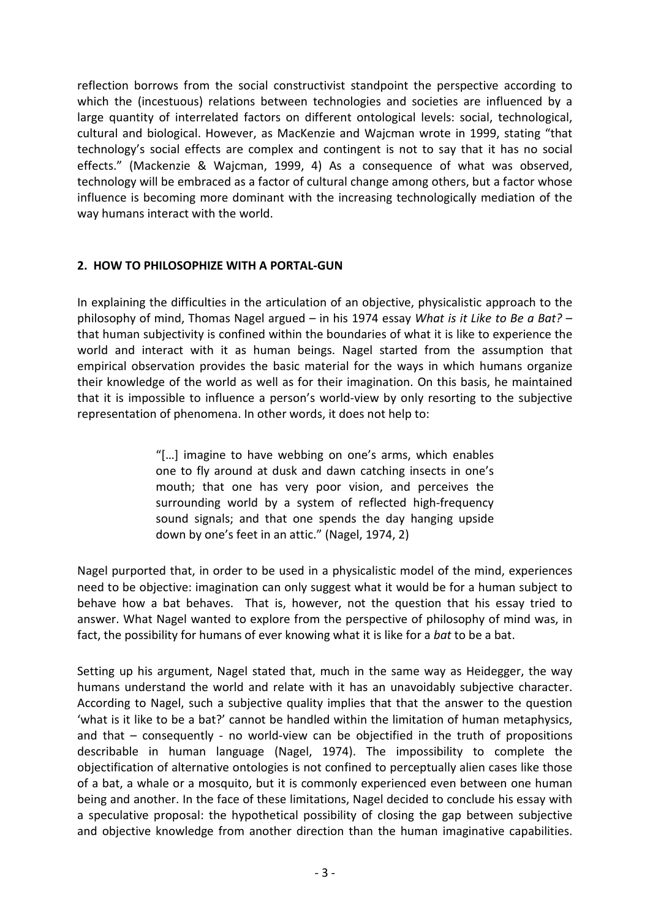reflection borrows from the social constructivist standpoint the perspective according to which the (incestuous) relations between technologies and societies are influenced by a large quantity of interrelated factors on different ontological levels: social, technological, cultural and biological. However, as MacKenzie and Wajcman wrote in 1999, stating "that technology's social effects are complex and contingent is not to say that it has no social effects." (Mackenzie & Wajcman, 1999, 4) As a consequence of what was observed, technology will be embraced as a factor of cultural change among others, but a factor whose influence is becoming more dominant with the increasing technologically mediation of the way humans interact with the world.

# **2. HOW TO PHILOSOPHIZE WITH A PORTAL-GUN**

In explaining the difficulties in the articulation of an objective, physicalistic approach to the philosophy of mind, Thomas Nagel argued – in his 1974 essay *What is it Like to Be a Bat?* – that human subjectivity is confined within the boundaries of what it is like to experience the world and interact with it as human beings. Nagel started from the assumption that empirical observation provides the basic material for the ways in which humans organize their knowledge of the world as well as for their imagination. On this basis, he maintained that it is impossible to influence a person's world-view by only resorting to the subjective representation of phenomena. In other words, it does not help to:

> "[…] imagine to have webbing on one's arms, which enables one to fly around at dusk and dawn catching insects in one's mouth; that one has very poor vision, and perceives the surrounding world by a system of reflected high-frequency sound signals; and that one spends the day hanging upside down by one's feet in an attic." (Nagel, 1974, 2)

Nagel purported that, in order to be used in a physicalistic model of the mind, experiences need to be objective: imagination can only suggest what it would be for a human subject to behave how a bat behaves. That is, however, not the question that his essay tried to answer. What Nagel wanted to explore from the perspective of philosophy of mind was, in fact, the possibility for humans of ever knowing what it is like for a *bat* to be a bat.

Setting up his argument, Nagel stated that, much in the same way as Heidegger, the way humans understand the world and relate with it has an unavoidably subjective character. According to Nagel, such a subjective quality implies that that the answer to the question 'what is it like to be a bat?' cannot be handled within the limitation of human metaphysics, and that – consequently - no world-view can be objectified in the truth of propositions describable in human language (Nagel, 1974). The impossibility to complete the objectification of alternative ontologies is not confined to perceptually alien cases like those of a bat, a whale or a mosquito, but it is commonly experienced even between one human being and another. In the face of these limitations, Nagel decided to conclude his essay with a speculative proposal: the hypothetical possibility of closing the gap between subjective and objective knowledge from another direction than the human imaginative capabilities.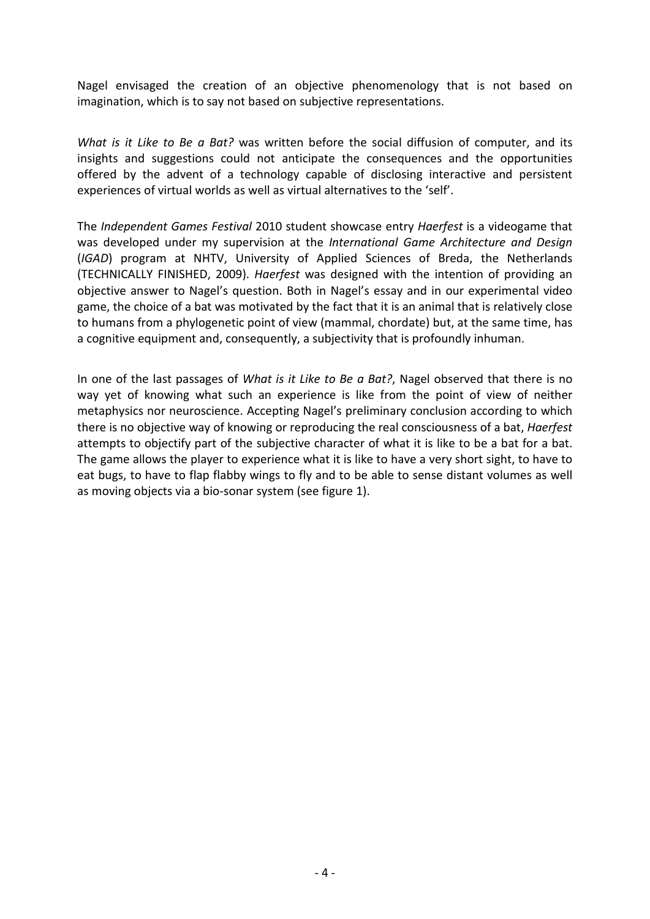Nagel envisaged the creation of an objective phenomenology that is not based on imagination, which is to say not based on subjective representations.

*What is it Like to Be a Bat?* was written before the social diffusion of computer, and its insights and suggestions could not anticipate the consequences and the opportunities offered by the advent of a technology capable of disclosing interactive and persistent experiences of virtual worlds as well as virtual alternatives to the 'self'.

The *Independent Games Festival* 2010 student showcase entry *Haerfest* is a videogame that was developed under my supervision at the *International Game Architecture and Design* (*IGAD*) program at NHTV, University of Applied Sciences of Breda, the Netherlands (TECHNICALLY FINISHED, 2009). *Haerfest* was designed with the intention of providing an objective answer to Nagel's question. Both in Nagel's essay and in our experimental video game, the choice of a bat was motivated by the fact that it is an animal that is relatively close to humans from a phylogenetic point of view (mammal, chordate) but, at the same time, has a cognitive equipment and, consequently, a subjectivity that is profoundly inhuman.

In one of the last passages of *What is it Like to Be a Bat?*, Nagel observed that there is no way yet of knowing what such an experience is like from the point of view of neither metaphysics nor neuroscience. Accepting Nagel's preliminary conclusion according to which there is no objective way of knowing or reproducing the real consciousness of a bat, *Haerfest*  attempts to objectify part of the subjective character of what it is like to be a bat for a bat. The game allows the player to experience what it is like to have a very short sight, to have to eat bugs, to have to flap flabby wings to fly and to be able to sense distant volumes as well as moving objects via a bio-sonar system (see figure 1).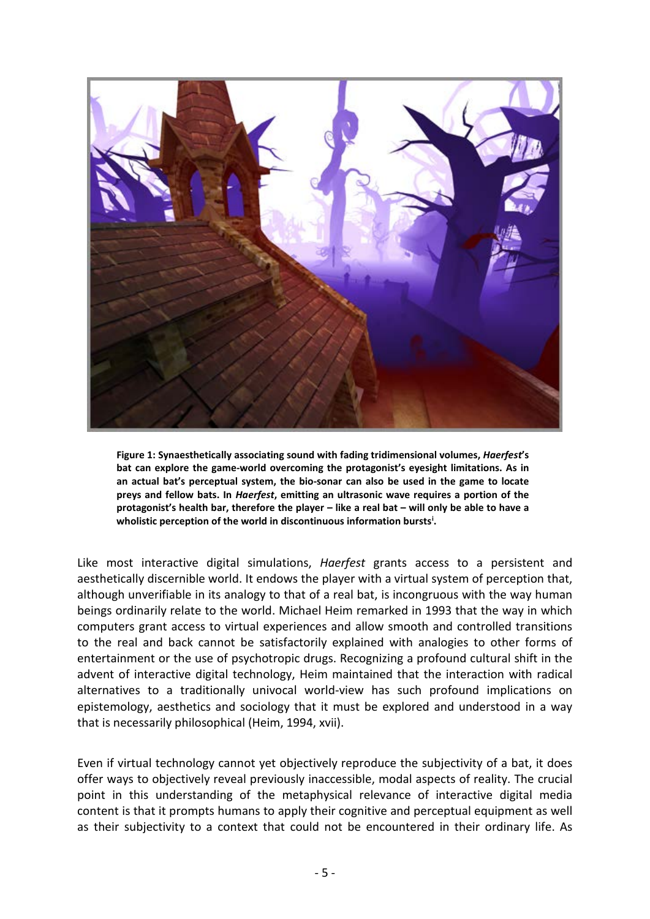

**Figure 1: Synaesthetically associating sound with fading tridimensional volumes,** *Haerfest***'s bat can explore the game-world overcoming the protagonist's eyesight limitations. As in an actual bat's perceptual system, the bio-sonar can also be used in the game to locate preys and fellow bats. In** *Haerfest***, emitting an ultrasonic wave requires a portion of the protagonist's health bar, therefore the player – like a real bat – will only be able to have a wholistic perception of the world in discontinuous information bursts[i](#page-10-0) .**

Like most interactive digital simulations, *Haerfest* grants access to a persistent and aesthetically discernible world. It endows the player with a virtual system of perception that, although unverifiable in its analogy to that of a real bat, is incongruous with the way human beings ordinarily relate to the world. Michael Heim remarked in 1993 that the way in which computers grant access to virtual experiences and allow smooth and controlled transitions to the real and back cannot be satisfactorily explained with analogies to other forms of entertainment or the use of psychotropic drugs. Recognizing a profound cultural shift in the advent of interactive digital technology, Heim maintained that the interaction with radical alternatives to a traditionally univocal world-view has such profound implications on epistemology, aesthetics and sociology that it must be explored and understood in a way that is necessarily philosophical (Heim, 1994, xvii).

Even if virtual technology cannot yet objectively reproduce the subjectivity of a bat, it does offer ways to objectively reveal previously inaccessible, modal aspects of reality. The crucial point in this understanding of the metaphysical relevance of interactive digital media content is that it prompts humans to apply their cognitive and perceptual equipment as well as their subjectivity to a context that could not be encountered in their ordinary life. As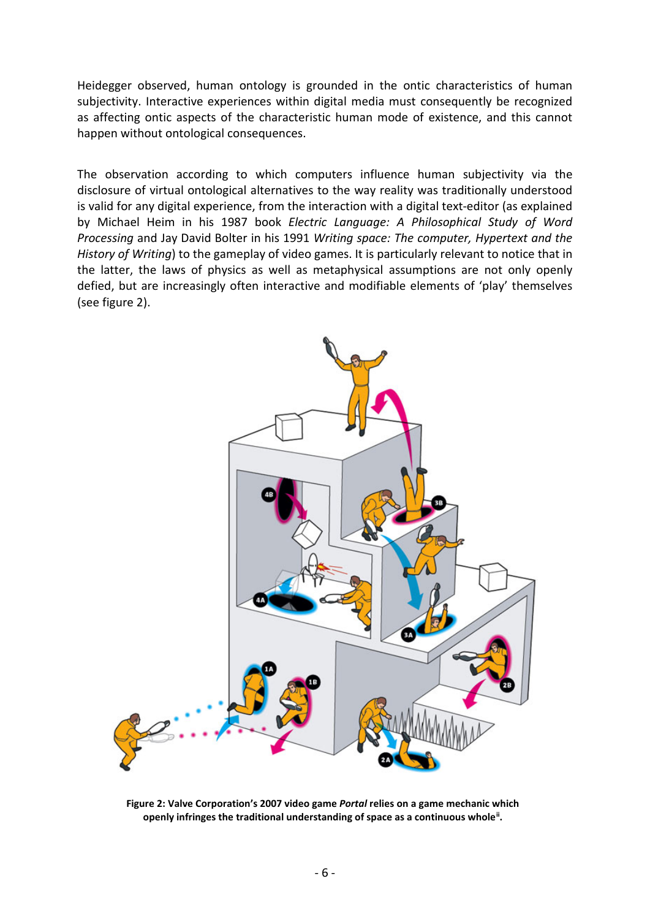Heidegger observed, human ontology is grounded in the ontic characteristics of human subjectivity. Interactive experiences within digital media must consequently be recognized as affecting ontic aspects of the characteristic human mode of existence, and this cannot happen without ontological consequences.

The observation according to which computers influence human subjectivity via the disclosure of virtual ontological alternatives to the way reality was traditionally understood is valid for any digital experience, from the interaction with a digital text-editor (as explained by Michael Heim in his 1987 book *Electric Language: A Philosophical Study of Word Processing* and Jay David Bolter in his 1991 *Writing space: The computer, Hypertext and the History of Writing*) to the gameplay of video games. It is particularly relevant to notice that in the latter, the laws of physics as well as metaphysical assumptions are not only openly defied, but are increasingly often interactive and modifiable elements of 'play' themselves (see figure 2).



**Figure 2: Valve Corporation's 2007 video game** *Portal* **relies on a game mechanic which openly infringes the traditional understanding of space as a continuous whole[ii](#page-10-1) .**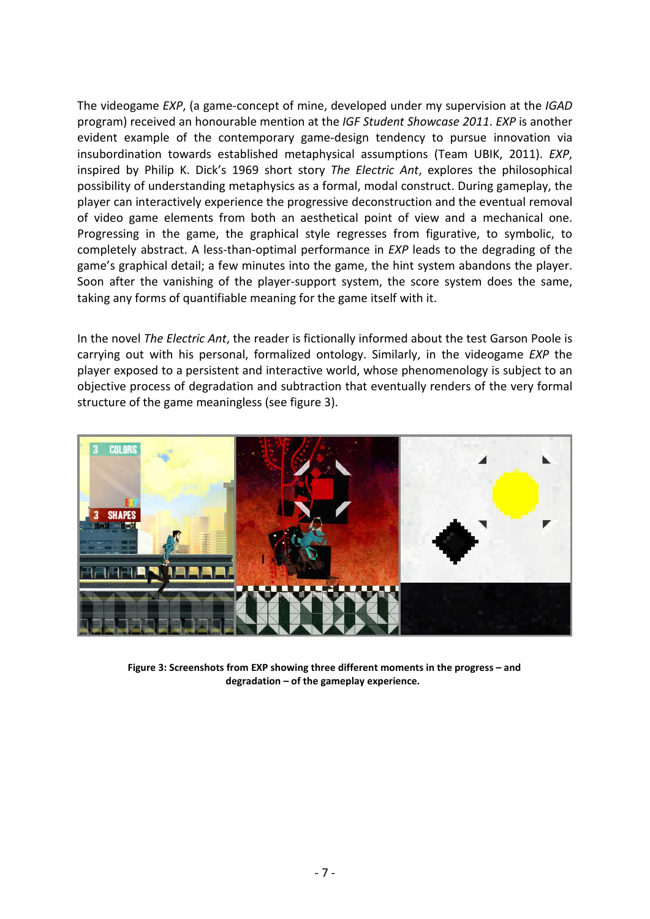The videogame *EXP*, (a game-concept of mine, developed under my supervision at the *IGAD* program) received an honourable mention at the *IGF Student Showcase 2011*. *EXP* is another evident example of the contemporary game-design tendency to pursue innovation via insubordination towards established metaphysical assumptions (Team UBIK, 2011). *EXP*, inspired by Philip K. Dick's 1969 short story *The Electric Ant*, explores the philosophical possibility of understanding metaphysics as a formal, modal construct. During gameplay, the player can interactively experience the progressive deconstruction and the eventual removal of video game elements from both an aesthetical point of view and a mechanical one. Progressing in the game, the graphical style regresses from figurative, to symbolic, to completely abstract. A less-than-optimal performance in *EXP* leads to the degrading of the game's graphical detail; a few minutes into the game, the hint system abandons the player. Soon after the vanishing of the player-support system, the score system does the same, taking any forms of quantifiable meaning for the game itself with it.

In the novel *The Electric Ant*, the reader is fictionally informed about the test Garson Poole is carrying out with his personal, formalized ontology. Similarly, in the videogame *EXP* the player exposed to a persistent and interactive world, whose phenomenology is subject to an objective process of degradation and subtraction that eventually renders of the very formal structure of the game meaningless (see figure 3).



**Figure 3: Screenshots from EXP showing three different moments in the progress – and degradation – of the gameplay experience.**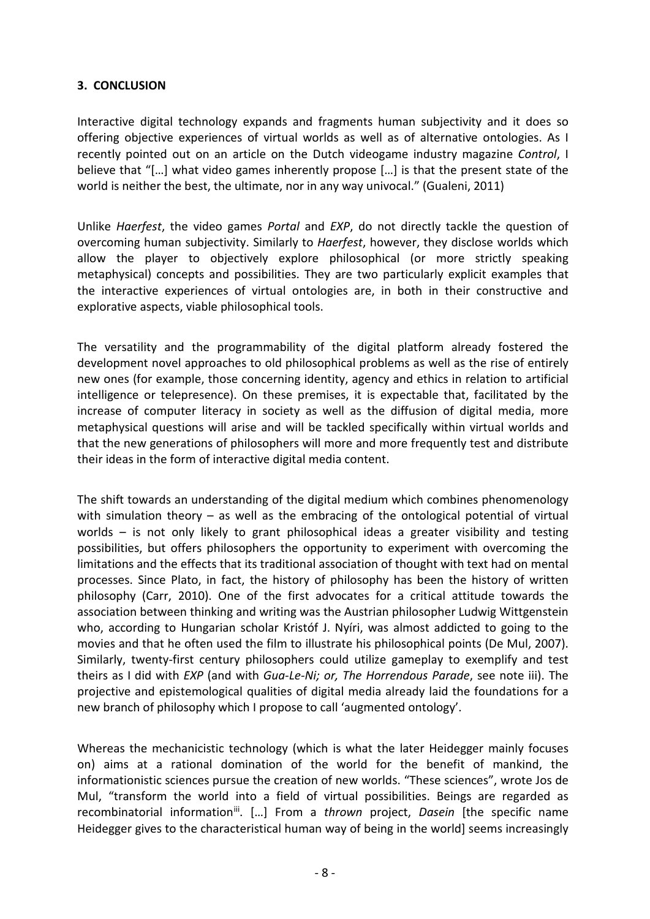#### **3. CONCLUSION**

Interactive digital technology expands and fragments human subjectivity and it does so offering objective experiences of virtual worlds as well as of alternative ontologies. As I recently pointed out on an article on the Dutch videogame industry magazine *Control*, I believe that "[…] what video games inherently propose […] is that the present state of the world is neither the best, the ultimate, nor in any way univocal." (Gualeni, 2011)

Unlike *Haerfest*, the video games *Portal* and *EXP*, do not directly tackle the question of overcoming human subjectivity. Similarly to *Haerfest*, however, they disclose worlds which allow the player to objectively explore philosophical (or more strictly speaking metaphysical) concepts and possibilities. They are two particularly explicit examples that the interactive experiences of virtual ontologies are, in both in their constructive and explorative aspects, viable philosophical tools.

The versatility and the programmability of the digital platform already fostered the development novel approaches to old philosophical problems as well as the rise of entirely new ones (for example, those concerning identity, agency and ethics in relation to artificial intelligence or telepresence). On these premises, it is expectable that, facilitated by the increase of computer literacy in society as well as the diffusion of digital media, more metaphysical questions will arise and will be tackled specifically within virtual worlds and that the new generations of philosophers will more and more frequently test and distribute their ideas in the form of interactive digital media content.

The shift towards an understanding of the digital medium which combines phenomenology with simulation theory - as well as the embracing of the ontological potential of virtual worlds – is not only likely to grant philosophical ideas a greater visibility and testing possibilities, but offers philosophers the opportunity to experiment with overcoming the limitations and the effects that its traditional association of thought with text had on mental processes. Since Plato, in fact, the history of philosophy has been the history of written philosophy (Carr, 2010). One of the first advocates for a critical attitude towards the association between thinking and writing was the Austrian philosopher Ludwig Wittgenstein who, according to Hungarian scholar Kristóf J. Nyíri, was almost addicted to going to the movies and that he often used the film to illustrate his philosophical points (De Mul, 2007). Similarly, twenty-first century philosophers could utilize gameplay to exemplify and test theirs as I did with *EXP* (and with *Gua-Le-Ni; or, The Horrendous Parade*, see note iii). The projective and epistemological qualities of digital media already laid the foundations for a new branch of philosophy which I propose to call 'augmented ontology'.

Whereas the mechanicistic technology (which is what the later Heidegger mainly focuses on) aims at a rational domination of the world for the benefit of mankind, the informationistic sciences pursue the creation of new worlds. "These sciences", wrote Jos de Mul, "transform the world into a field of virtual possibilities. Beings are regarded as recombinatorial information<sup>iii</sup>. [...] From a *thrown* project, *Dasein* [the specific name Heidegger gives to the characteristical human way of being in the world] seems increasingly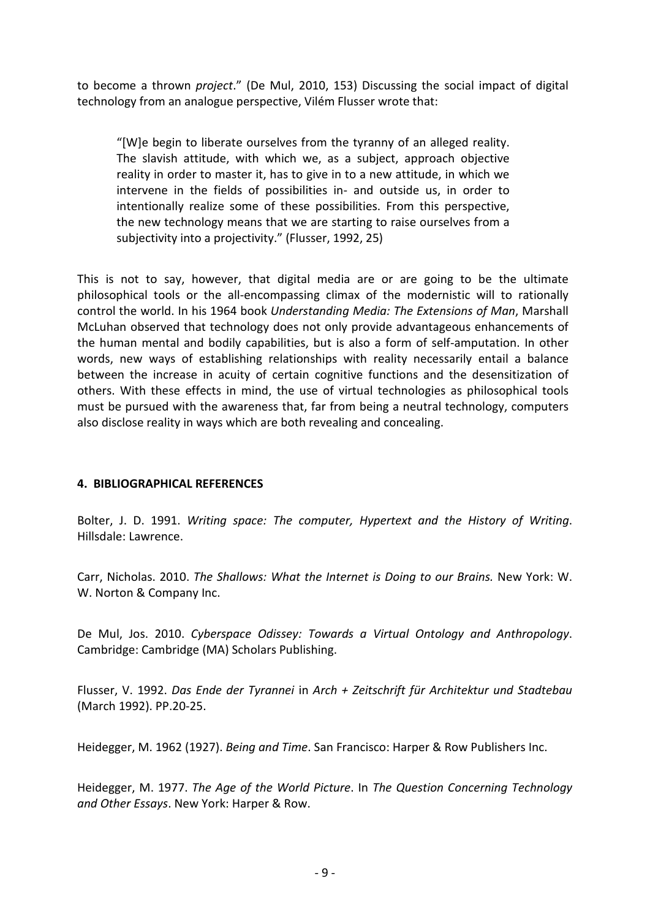to become a thrown *project*." (De Mul, 2010, 153) Discussing the social impact of digital technology from an analogue perspective, Vilém Flusser wrote that:

"[W]e begin to liberate ourselves from the tyranny of an alleged reality. The slavish attitude, with which we, as a subject, approach objective reality in order to master it, has to give in to a new attitude, in which we intervene in the fields of possibilities in- and outside us, in order to intentionally realize some of these possibilities. From this perspective, the new technology means that we are starting to raise ourselves from a subjectivity into a projectivity." (Flusser, 1992, 25)

This is not to say, however, that digital media are or are going to be the ultimate philosophical tools or the all-encompassing climax of the modernistic will to rationally control the world. In his 1964 book *Understanding Media: The Extensions of Man*, Marshall McLuhan observed that technology does not only provide advantageous enhancements of the human mental and bodily capabilities, but is also a form of self-amputation. In other words, new ways of establishing relationships with reality necessarily entail a balance between the increase in acuity of certain cognitive functions and the desensitization of others. With these effects in mind, the use of virtual technologies as philosophical tools must be pursued with the awareness that, far from being a neutral technology, computers also disclose reality in ways which are both revealing and concealing.

# **4. BIBLIOGRAPHICAL REFERENCES**

Bolter, J. D. 1991. *Writing space: The computer, Hypertext and the History of Writing*. Hillsdale: Lawrence.

Carr, Nicholas. 2010. *The Shallows: What the Internet is Doing to our Brains.* New York: W. W. Norton & Company Inc.

De Mul, Jos. 2010. *Cyberspace Odissey: Towards a Virtual Ontology and Anthropology*. Cambridge: Cambridge (MA) Scholars Publishing.

Flusser, V. 1992. *Das Ende der Tyrannei* in *Arch + Zeitschrift für Architektur und Stadtebau* (March 1992). PP.20-25.

Heidegger, M. 1962 (1927). *Being and Time*. San Francisco: Harper & Row Publishers Inc.

Heidegger, M. 1977. *The Age of the World Picture*. In *The Question Concerning Technology and Other Essays*. New York: Harper & Row.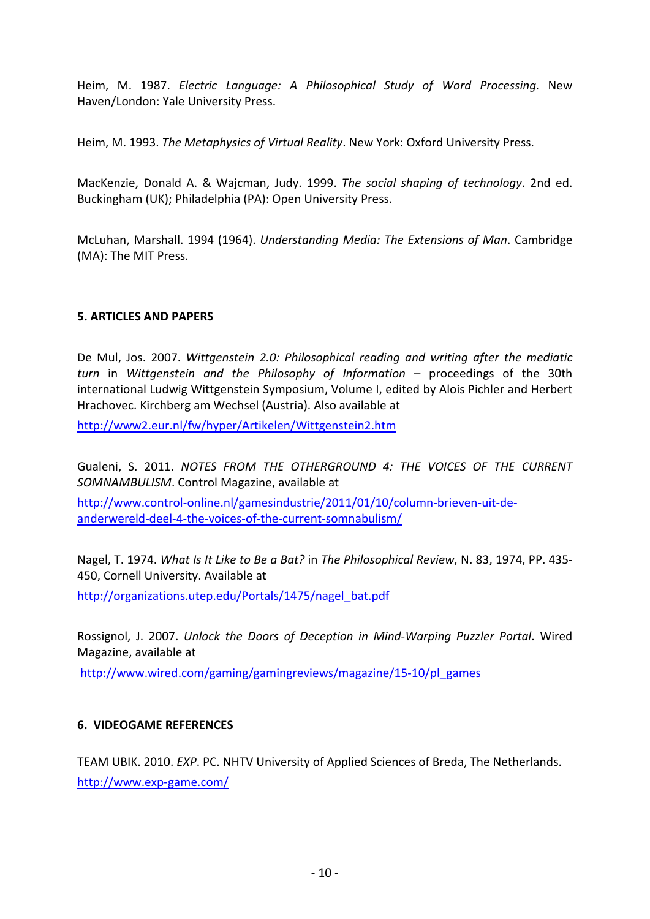Heim, M. 1987. *Electric Language: A Philosophical Study of Word Processing.* New Haven/London: Yale University Press.

Heim, M. 1993. *The Metaphysics of Virtual Reality*. New York: Oxford University Press.

MacKenzie, Donald A. & Wajcman, Judy. 1999. *The social shaping of technology*. 2nd ed. Buckingham (UK); Philadelphia (PA): Open University Press.

McLuhan, Marshall. 1994 (1964). *Understanding Media: The Extensions of Man*. Cambridge (MA): The MIT Press.

# **5. ARTICLES AND PAPERS**

De Mul, Jos. 2007. *Wittgenstein 2.0: Philosophical reading and writing after the mediatic turn* in *Wittgenstein and the Philosophy of Information* – proceedings of the 30th international Ludwig Wittgenstein Symposium, Volume I, edited by Alois Pichler and Herbert Hrachovec. Kirchberg am Wechsel (Austria). Also available at

<http://www2.eur.nl/fw/hyper/Artikelen/Wittgenstein2.htm>

Gualeni, S. 2011. *NOTES FROM THE OTHERGROUND 4: THE VOICES OF THE CURRENT SOMNAMBULISM*. Control Magazine, available at

[http://www.control-online.nl/gamesindustrie/2011/01/10/column-brieven-uit-de](http://www.control-online.nl/gamesindustrie/2011/01/10/column-brieven-uit-de-anderwereld-deel-4-the-voices-of-the-current-somnabulism/)[anderwereld-deel-4-the-voices-of-the-current-somnabulism/](http://www.control-online.nl/gamesindustrie/2011/01/10/column-brieven-uit-de-anderwereld-deel-4-the-voices-of-the-current-somnabulism/)

Nagel, T. 1974. *What Is It Like to Be a Bat?* in *The Philosophical Review*, N. 83, 1974, PP. 435- 450, Cornell University. Available at

[http://organizations.utep.edu/Portals/1475/nagel\\_bat.pdf](http://organizations.utep.edu/Portals/1475/nagel_bat.pdf)

Rossignol, J. 2007. *Unlock the Doors of Deception in Mind-Warping Puzzler Portal*. Wired Magazine, available at

[http://www.wired.com/gaming/gamingreviews/magazine/15-10/pl\\_games](http://www.wired.com/gaming/gamingreviews/magazine/15-10/pl_games)

# **6. VIDEOGAME REFERENCES**

TEAM UBIK. 2010. *EXP*. PC. NHTV University of Applied Sciences of Breda, The Netherlands. <http://www.exp-game.com/>